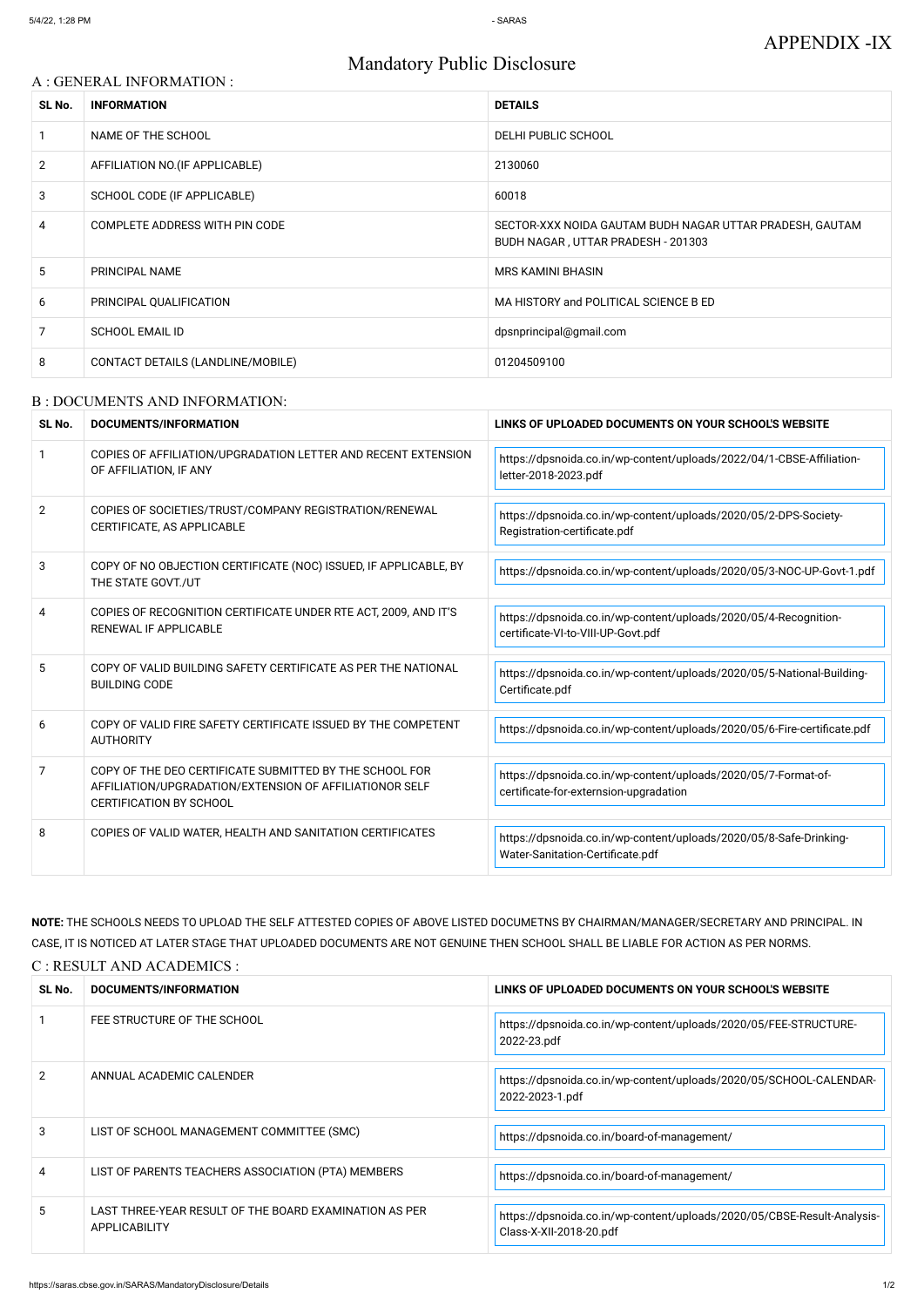# Mandatory Public Disclosure

### A : GENERAL INFORMATION :

| SL No.         | <b>INFORMATION</b>                | <b>DETAILS</b>                                                                                 |
|----------------|-----------------------------------|------------------------------------------------------------------------------------------------|
|                | NAME OF THE SCHOOL                | DELHI PUBLIC SCHOOL                                                                            |
| $\overline{2}$ | AFFILIATION NO. (IF APPLICABLE)   | 2130060                                                                                        |
| 3              | SCHOOL CODE (IF APPLICABLE)       | 60018                                                                                          |
| 4              | COMPLETE ADDRESS WITH PIN CODE    | SECTOR-XXX NOIDA GAUTAM BUDH NAGAR UTTAR PRADESH, GAUTAM<br>BUDH NAGAR, UTTAR PRADESH - 201303 |
| 5              | PRINCIPAL NAME                    | <b>MRS KAMINI BHASIN</b>                                                                       |
| 6              | PRINCIPAL QUALIFICATION           | MA HISTORY and POLITICAL SCIENCE B ED                                                          |
| 7              | <b>SCHOOL EMAIL ID</b>            | dpsnprincipal@gmail.com                                                                        |
| 8              | CONTACT DETAILS (LANDLINE/MOBILE) | 01204509100                                                                                    |

#### B : DOCUMENTS AND INFORMATION:

| SL No.         | DOCUMENTS/INFORMATION                                                                                                                                | LINKS OF UPLOADED DOCUMENTS ON YOUR SCHOOL'S WEBSITE                                                     |
|----------------|------------------------------------------------------------------------------------------------------------------------------------------------------|----------------------------------------------------------------------------------------------------------|
|                | COPIES OF AFFILIATION/UPGRADATION LETTER AND RECENT EXTENSION<br>OF AFFILIATION, IF ANY                                                              | https://dpsnoida.co.in/wp-content/uploads/2022/04/1-CBSE-Affiliation-<br>letter-2018-2023.pdf            |
| $\overline{2}$ | COPIES OF SOCIETIES/TRUST/COMPANY REGISTRATION/RENEWAL<br>CERTIFICATE, AS APPLICABLE                                                                 | https://dpsnoida.co.in/wp-content/uploads/2020/05/2-DPS-Society-<br>Registration-certificate.pdf         |
| 3              | COPY OF NO OBJECTION CERTIFICATE (NOC) ISSUED, IF APPLICABLE, BY<br>THE STATE GOVT./UT                                                               | https://dpsnoida.co.in/wp-content/uploads/2020/05/3-NOC-UP-Govt-1.pdf                                    |
| 4              | COPIES OF RECOGNITION CERTIFICATE UNDER RTE ACT, 2009, AND IT'S<br>RENEWAL IF APPLICABLE                                                             | https://dpsnoida.co.in/wp-content/uploads/2020/05/4-Recognition-<br>certificate-VI-to-VIII-UP-Govt.pdf   |
| 5              | COPY OF VALID BUILDING SAFETY CERTIFICATE AS PER THE NATIONAL<br><b>BUILDING CODE</b>                                                                | https://dpsnoida.co.in/wp-content/uploads/2020/05/5-National-Building-<br>Certificate.pdf                |
| 6              | COPY OF VALID FIRE SAFETY CERTIFICATE ISSUED BY THE COMPETENT<br><b>AUTHORITY</b>                                                                    | https://dpsnoida.co.in/wp-content/uploads/2020/05/6-Fire-certificate.pdf                                 |
| 7              | COPY OF THE DEO CERTIFICATE SUBMITTED BY THE SCHOOL FOR<br>AFFILIATION/UPGRADATION/EXTENSION OF AFFILIATIONOR SELF<br><b>CERTIFICATION BY SCHOOL</b> | https://dpsnoida.co.in/wp-content/uploads/2020/05/7-Format-of-<br>certificate-for-externsion-upgradation |
| 8              | COPIES OF VALID WATER, HEALTH AND SANITATION CERTIFICATES                                                                                            | https://dpsnoida.co.in/wp-content/uploads/2020/05/8-Safe-Drinking-<br>Water-Sanitation-Certificate.pdf   |

**NOTE:** THE SCHOOLS NEEDS TO UPLOAD THE SELF ATTESTED COPIES OF ABOVE LISTED DOCUMETNS BY CHAIRMAN/MANAGER/SECRETARY AND PRINCIPAL. IN CASE, IT IS NOTICED AT LATER STAGE THAT UPLOADED DOCUMENTS ARE NOT GENUINE THEN SCHOOL SHALL BE LIABLE FOR ACTION AS PER NORMS. C : RESULT AND ACADEMICS :

| SL No. | DOCUMENTS/INFORMATION                                                   | LINKS OF UPLOADED DOCUMENTS ON YOUR SCHOOL'S WEBSITE                                               |
|--------|-------------------------------------------------------------------------|----------------------------------------------------------------------------------------------------|
|        | FEE STRUCTURE OF THE SCHOOL                                             | https://dpsnoida.co.in/wp-content/uploads/2020/05/FEE-STRUCTURE-<br>2022-23.pdf                    |
| 2      | ANNUAL ACADEMIC CALENDER                                                | https://dpsnoida.co.in/wp-content/uploads/2020/05/SCHOOL-CALENDAR-<br>2022-2023-1.pdf              |
| 3      | LIST OF SCHOOL MANAGEMENT COMMITTEE (SMC)                               | https://dpsnoida.co.in/board-of-management/                                                        |
| 4      | LIST OF PARENTS TEACHERS ASSOCIATION (PTA) MEMBERS                      | https://dpsnoida.co.in/board-of-management/                                                        |
| 5.     | LAST THREE-YEAR RESULT OF THE BOARD EXAMINATION AS PER<br>APPLICABILITY | https://dpsnoida.co.in/wp-content/uploads/2020/05/CBSE-Result-Analysis-<br>Class-X-XII-2018-20.pdf |